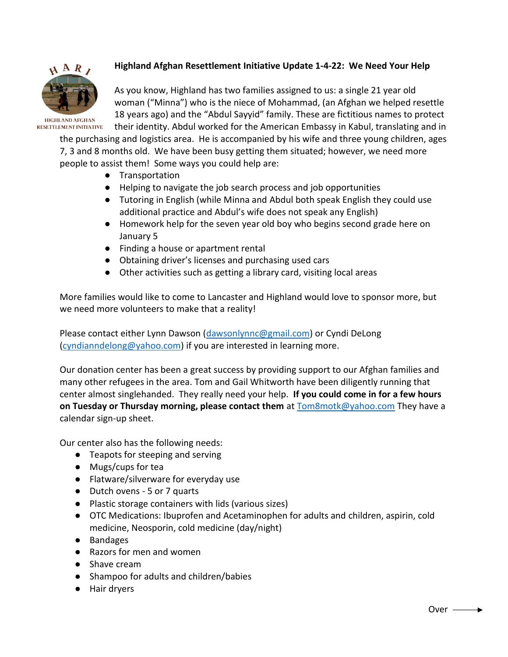

# **Highland Afghan Resettlement Initiative Update 1-4-22: We Need Your Help**

As you know, Highland has two families assigned to us: a single 21 year old woman ("Minna") who is the niece of Mohammad, (an Afghan we helped resettle 18 years ago) and the "Abdul Sayyid" family. These are fictitious names to protect their identity. Abdul worked for the American Embassy in Kabul, translating and in

the purchasing and logistics area. He is accompanied by his wife and three young children, ages 7, 3 and 8 months old. We have been busy getting them situated; however, we need more people to assist them! Some ways you could help are:

- Transportation
- Helping to navigate the job search process and job opportunities
- Tutoring in English (while Minna and Abdul both speak English they could use additional practice and Abdul's wife does not speak any English)
- Homework help for the seven year old boy who begins second grade here on January 5
- Finding a house or apartment rental
- Obtaining driver's licenses and purchasing used cars
- Other activities such as getting a library card, visiting local areas

More families would like to come to Lancaster and Highland would love to sponsor more, but we need more volunteers to make that a reality!

Please contact either Lynn Dawson [\(dawsonlynnc@gmail.com\)](mailto:dawsonlynn@gmail.com) or Cyndi DeLong [\(cyndianndelong@yahoo.com\)](mailto:cyndianndelong@yahoo.com) if you are interested in learning more.

Our donation center has been a great success by providing support to our Afghan families and many other refugees in the area. Tom and Gail Whitworth have been diligently running that center almost singlehanded. They really need your help. **If you could come in for a few hours on Tuesday or Thursday morning, please contact them** at **Tom8motk@yahoo.com** They have a calendar sign-up sheet.

Our center also has the following needs:

- Teapots for steeping and serving
- Mugs/cups for tea
- Flatware/silverware for everyday use
- Dutch ovens 5 or 7 quarts
- Plastic storage containers with lids (various sizes)
- OTC Medications: Ibuprofen and Acetaminophen for adults and children, aspirin, cold medicine, Neosporin, cold medicine (day/night)
- Bandages
- Razors for men and women
- Shave cream
- Shampoo for adults and children/babies
- Hair dryers